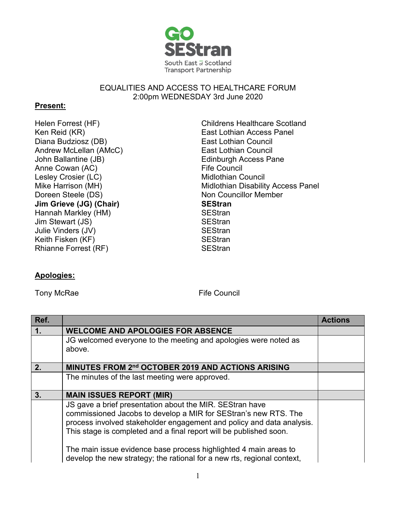

## EQUALITIES AND ACCESS TO HEALTHCARE FORUM 2:00pm WEDNESDAY 3rd June 2020

## **Present:**

Helen Forrest (HF) Childrens Healthcare Scotland Diana Budziosz (DB) Andrew McLellan (AMcC) John Ballantine (JB) Anne Cowan (AC) Lesley Crosier (LC) **Midlothian Council** Mike Harrison (MH) Doreen Steele (DS) **Jim Grieve (JG) (Chair)** Hannah Markley (HM) SEStran Jim Stewart (JS) Julie Vinders (JV) SEStran Keith Fisken (KF) SEStran Rhianne Forrest (RF) SEStran

## Ken Reid (KR) East Lothian Access Panel East Lothian Council East Lothian Council Edinburgh Access Pane Fife Council Midlothian Disability Access Panel Non Councillor Member **SEStran**

## **Apologies:**

Tony McRae Fife Council

| Ref. |                                                                                                                                                                                                                                                                            | <b>Actions</b> |
|------|----------------------------------------------------------------------------------------------------------------------------------------------------------------------------------------------------------------------------------------------------------------------------|----------------|
| 1.   | <b>WELCOME AND APOLOGIES FOR ABSENCE</b>                                                                                                                                                                                                                                   |                |
|      | JG welcomed everyone to the meeting and apologies were noted as<br>above.                                                                                                                                                                                                  |                |
| 2.   | MINUTES FROM 2nd OCTOBER 2019 AND ACTIONS ARISING                                                                                                                                                                                                                          |                |
|      | The minutes of the last meeting were approved.                                                                                                                                                                                                                             |                |
| 3.   | <b>MAIN ISSUES REPORT (MIR)</b>                                                                                                                                                                                                                                            |                |
|      | JS gave a brief presentation about the MIR. SEStran have<br>commissioned Jacobs to develop a MIR for SEStran's new RTS. The<br>process involved stakeholder engagement and policy and data analysis.<br>This stage is completed and a final report will be published soon. |                |
|      | The main issue evidence base process highlighted 4 main areas to<br>develop the new strategy; the rational for a new rts, regional context,                                                                                                                                |                |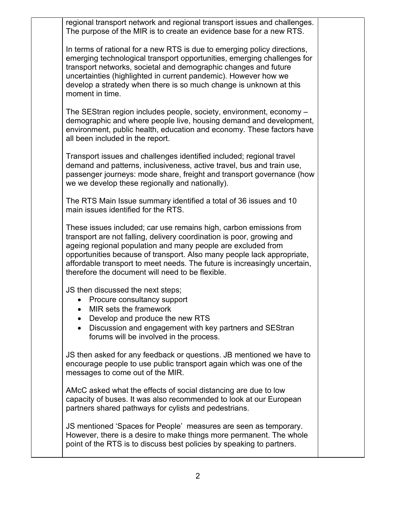regional transport network and regional transport issues and challenges. The purpose of the MIR is to create an evidence base for a new RTS.

In terms of rational for a new RTS is due to emerging policy directions, emerging technological transport opportunities, emerging challenges for transport networks, societal and demographic changes and future uncertainties (highlighted in current pandemic). However how we develop a stratedy when there is so much change is unknown at this moment in time.

The SEStran region includes people, society, environment, economy – demographic and where people live, housing demand and development, environment, public health, education and economy. These factors have all been included in the report.

Transport issues and challenges identified included; regional travel demand and patterns, inclusiveness, active travel, bus and train use, passenger journeys: mode share, freight and transport governance (how we we develop these regionally and nationally).

The RTS Main Issue summary identified a total of 36 issues and 10 main issues identified for the RTS.

These issues included; car use remains high, carbon emissions from transport are not falling, delivery coordination is poor, growing and ageing regional population and many people are excluded from opportunities because of transport. Also many people lack appropriate, affordable transport to meet needs. The future is increasingly uncertain, therefore the document will need to be flexible.

JS then discussed the next steps;

- Procure consultancy support
- MIR sets the framework
- Develop and produce the new RTS
- Discussion and engagement with key partners and SEStran forums will be involved in the process.

JS then asked for any feedback or questions. JB mentioned we have to encourage people to use public transport again which was one of the messages to come out of the MIR.

AMcC asked what the effects of social distancing are due to low capacity of buses. It was also recommended to look at our European partners shared pathways for cylists and pedestrians.

JS mentioned 'Spaces for People' measures are seen as temporary. However, there is a desire to make things more permanent. The whole point of the RTS is to discuss best policies by speaking to partners.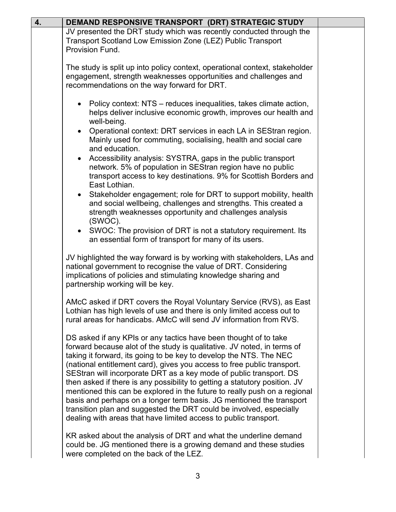| 4. | DEMAND RESPONSIVE TRANSPORT (DRT) STRATEGIC STUDY                                                                                                                                                                                                                                                                                                                                                                                                                                                                                                                                                                                                                                                                                                 |  |
|----|---------------------------------------------------------------------------------------------------------------------------------------------------------------------------------------------------------------------------------------------------------------------------------------------------------------------------------------------------------------------------------------------------------------------------------------------------------------------------------------------------------------------------------------------------------------------------------------------------------------------------------------------------------------------------------------------------------------------------------------------------|--|
|    | JV presented the DRT study which was recently conducted through the<br>Transport Scotland Low Emission Zone (LEZ) Public Transport<br>Provision Fund.                                                                                                                                                                                                                                                                                                                                                                                                                                                                                                                                                                                             |  |
|    | The study is split up into policy context, operational context, stakeholder<br>engagement, strength weaknesses opportunities and challenges and<br>recommendations on the way forward for DRT.                                                                                                                                                                                                                                                                                                                                                                                                                                                                                                                                                    |  |
|    | • Policy context: NTS – reduces inequalities, takes climate action,<br>helps deliver inclusive economic growth, improves our health and<br>well-being.<br>Operational context: DRT services in each LA in SEStran region.<br>$\bullet$<br>Mainly used for commuting, socialising, health and social care<br>and education.<br>Accessibility analysis: SYSTRA, gaps in the public transport<br>network. 5% of population in SEStran region have no public<br>transport access to key destinations. 9% for Scottish Borders and<br>East Lothian.<br>• Stakeholder engagement; role for DRT to support mobility, health<br>and social wellbeing, challenges and strengths. This created a<br>strength weaknesses opportunity and challenges analysis |  |
|    | (SWOC).<br>• SWOC: The provision of DRT is not a statutory requirement. Its<br>an essential form of transport for many of its users.                                                                                                                                                                                                                                                                                                                                                                                                                                                                                                                                                                                                              |  |
|    | JV highlighted the way forward is by working with stakeholders, LAs and<br>national government to recognise the value of DRT. Considering<br>implications of policies and stimulating knowledge sharing and<br>partnership working will be key.                                                                                                                                                                                                                                                                                                                                                                                                                                                                                                   |  |
|    | AMcC asked if DRT covers the Royal Voluntary Service (RVS), as East<br>Lothian has high levels of use and there is only limited access out to<br>rural areas for handicabs. AMcC will send JV information from RVS.                                                                                                                                                                                                                                                                                                                                                                                                                                                                                                                               |  |
|    | DS asked if any KPIs or any tactics have been thought of to take<br>forward because alot of the study is qualitative. JV noted, in terms of<br>taking it forward, its going to be key to develop the NTS. The NEC<br>(national entitlement card), gives you access to free public transport.<br>SEStran will incorporate DRT as a key mode of public transport. DS<br>then asked if there is any possibility to getting a statutory position. JV<br>mentioned this can be explored in the future to really push on a regional<br>basis and perhaps on a longer term basis. JG mentioned the transport<br>transition plan and suggested the DRT could be involved, especially<br>dealing with areas that have limited access to public transport.  |  |
|    | KR asked about the analysis of DRT and what the underline demand<br>could be. JG mentioned there is a growing demand and these studies<br>were completed on the back of the LEZ.                                                                                                                                                                                                                                                                                                                                                                                                                                                                                                                                                                  |  |